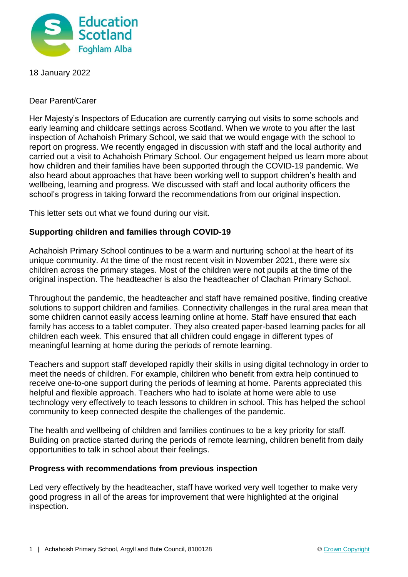

18 January 2022

Dear Parent/Carer

Her Majesty's Inspectors of Education are currently carrying out visits to some schools and early learning and childcare settings across Scotland. When we wrote to you after the last inspection of Achahoish Primary School, we said that we would engage with the school to report on progress. We recently engaged in discussion with staff and the local authority and carried out a visit to Achahoish Primary School. Our engagement helped us learn more about how children and their families have been supported through the COVID-19 pandemic. We also heard about approaches that have been working well to support children's health and wellbeing, learning and progress. We discussed with staff and local authority officers the school's progress in taking forward the recommendations from our original inspection.

This letter sets out what we found during our visit.

## **Supporting children and families through COVID-19**

Achahoish Primary School continues to be a warm and nurturing school at the heart of its unique community. At the time of the most recent visit in November 2021, there were six children across the primary stages. Most of the children were not pupils at the time of the original inspection. The headteacher is also the headteacher of Clachan Primary School.

Throughout the pandemic, the headteacher and staff have remained positive, finding creative solutions to support children and families. Connectivity challenges in the rural area mean that some children cannot easily access learning online at home. Staff have ensured that each family has access to a tablet computer. They also created paper-based learning packs for all children each week. This ensured that all children could engage in different types of meaningful learning at home during the periods of remote learning.

Teachers and support staff developed rapidly their skills in using digital technology in order to meet the needs of children. For example, children who benefit from extra help continued to receive one-to-one support during the periods of learning at home. Parents appreciated this helpful and flexible approach. Teachers who had to isolate at home were able to use technology very effectively to teach lessons to children in school. This has helped the school community to keep connected despite the challenges of the pandemic.

The health and wellbeing of children and families continues to be a key priority for staff. Building on practice started during the periods of remote learning, children benefit from daily opportunities to talk in school about their feelings.

## **Progress with recommendations from previous inspection**

Led very effectively by the headteacher, staff have worked very well together to make very good progress in all of the areas for improvement that were highlighted at the original inspection.